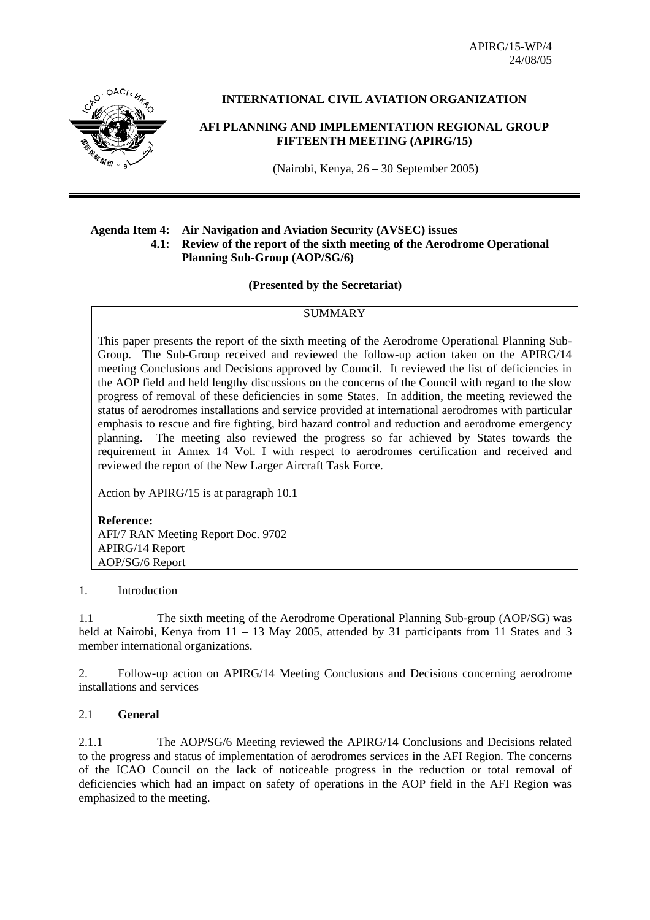APIRG/15-WP/4 24/08/05



## **INTERNATIONAL CIVIL AVIATION ORGANIZATION**

### **AFI PLANNING AND IMPLEMENTATION REGIONAL GROUP FIFTEENTH MEETING (APIRG/15)**

(Nairobi, Kenya, 26 – 30 September 2005)

#### **Agenda Item 4: Air Navigation and Aviation Security (AVSEC) issues 4.1: Review of the report of the sixth meeting of the Aerodrome Operational Planning Sub-Group (AOP/SG/6)**

#### **(Presented by the Secretariat)**

# **SUMMARY**

This paper presents the report of the sixth meeting of the Aerodrome Operational Planning Sub-Group. The Sub-Group received and reviewed the follow-up action taken on the APIRG/14 meeting Conclusions and Decisions approved by Council. It reviewed the list of deficiencies in the AOP field and held lengthy discussions on the concerns of the Council with regard to the slow progress of removal of these deficiencies in some States. In addition, the meeting reviewed the status of aerodromes installations and service provided at international aerodromes with particular emphasis to rescue and fire fighting, bird hazard control and reduction and aerodrome emergency planning. The meeting also reviewed the progress so far achieved by States towards the requirement in Annex 14 Vol. I with respect to aerodromes certification and received and reviewed the report of the New Larger Aircraft Task Force.

Action by APIRG/15 is at paragraph 10.1

**Reference:** AFI/7 RAN Meeting Report Doc. 9702 APIRG/14 Report AOP/SG/6 Report

#### 1. Introduction

1.1 The sixth meeting of the Aerodrome Operational Planning Sub-group (AOP/SG) was held at Nairobi, Kenya from 11 – 13 May 2005, attended by 31 participants from 11 States and 3 member international organizations.

2. Follow-up action on APIRG/14 Meeting Conclusions and Decisions concerning aerodrome installations and services

### 2.1 **General**

2.1.1 The AOP/SG/6 Meeting reviewed the APIRG/14 Conclusions and Decisions related to the progress and status of implementation of aerodromes services in the AFI Region. The concerns of the ICAO Council on the lack of noticeable progress in the reduction or total removal of deficiencies which had an impact on safety of operations in the AOP field in the AFI Region was emphasized to the meeting.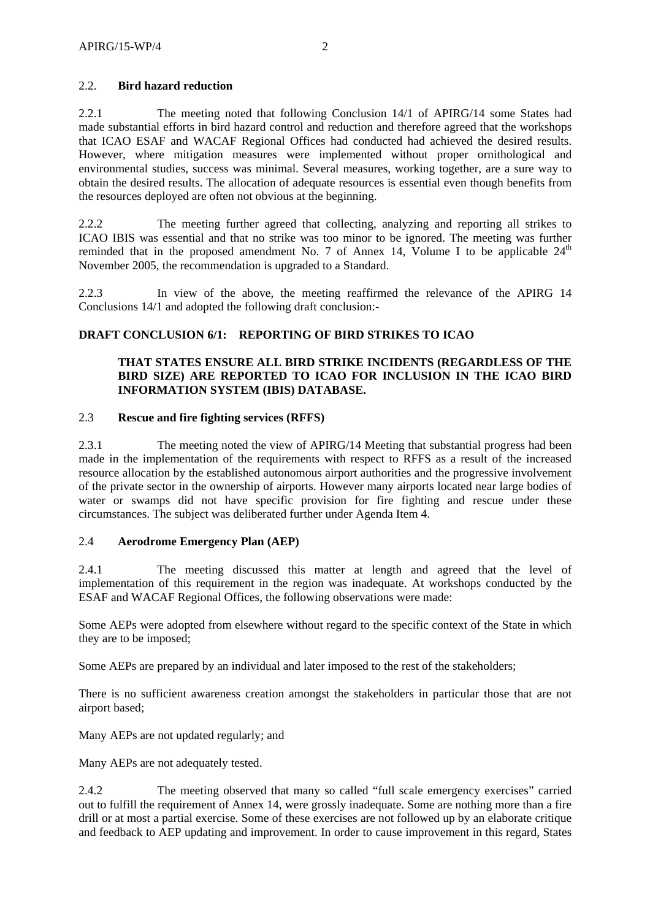## 2.2. **Bird hazard reduction**

2.2.1 The meeting noted that following Conclusion 14/1 of APIRG/14 some States had made substantial efforts in bird hazard control and reduction and therefore agreed that the workshops that ICAO ESAF and WACAF Regional Offices had conducted had achieved the desired results. However, where mitigation measures were implemented without proper ornithological and environmental studies, success was minimal. Several measures, working together, are a sure way to obtain the desired results. The allocation of adequate resources is essential even though benefits from the resources deployed are often not obvious at the beginning.

2.2.2 The meeting further agreed that collecting, analyzing and reporting all strikes to ICAO IBIS was essential and that no strike was too minor to be ignored. The meeting was further reminded that in the proposed amendment No. 7 of Annex 14, Volume I to be applicable  $24<sup>th</sup>$ November 2005, the recommendation is upgraded to a Standard.

2.2.3 In view of the above, the meeting reaffirmed the relevance of the APIRG 14 Conclusions 14/1 and adopted the following draft conclusion:-

# **DRAFT CONCLUSION 6/1: REPORTING OF BIRD STRIKES TO ICAO**

## **THAT STATES ENSURE ALL BIRD STRIKE INCIDENTS (REGARDLESS OF THE BIRD SIZE) ARE REPORTED TO ICAO FOR INCLUSION IN THE ICAO BIRD INFORMATION SYSTEM (IBIS) DATABASE.**

### 2.3 **Rescue and fire fighting services (RFFS)**

2.3.1 The meeting noted the view of APIRG/14 Meeting that substantial progress had been made in the implementation of the requirements with respect to RFFS as a result of the increased resource allocation by the established autonomous airport authorities and the progressive involvement of the private sector in the ownership of airports. However many airports located near large bodies of water or swamps did not have specific provision for fire fighting and rescue under these circumstances. The subject was deliberated further under Agenda Item 4.

### 2.4 **Aerodrome Emergency Plan (AEP)**

2.4.1 The meeting discussed this matter at length and agreed that the level of implementation of this requirement in the region was inadequate. At workshops conducted by the ESAF and WACAF Regional Offices, the following observations were made:

Some AEPs were adopted from elsewhere without regard to the specific context of the State in which they are to be imposed;

Some AEPs are prepared by an individual and later imposed to the rest of the stakeholders;

There is no sufficient awareness creation amongst the stakeholders in particular those that are not airport based;

Many AEPs are not updated regularly; and

Many AEPs are not adequately tested.

2.4.2 The meeting observed that many so called "full scale emergency exercises" carried out to fulfill the requirement of Annex 14, were grossly inadequate. Some are nothing more than a fire drill or at most a partial exercise. Some of these exercises are not followed up by an elaborate critique and feedback to AEP updating and improvement. In order to cause improvement in this regard, States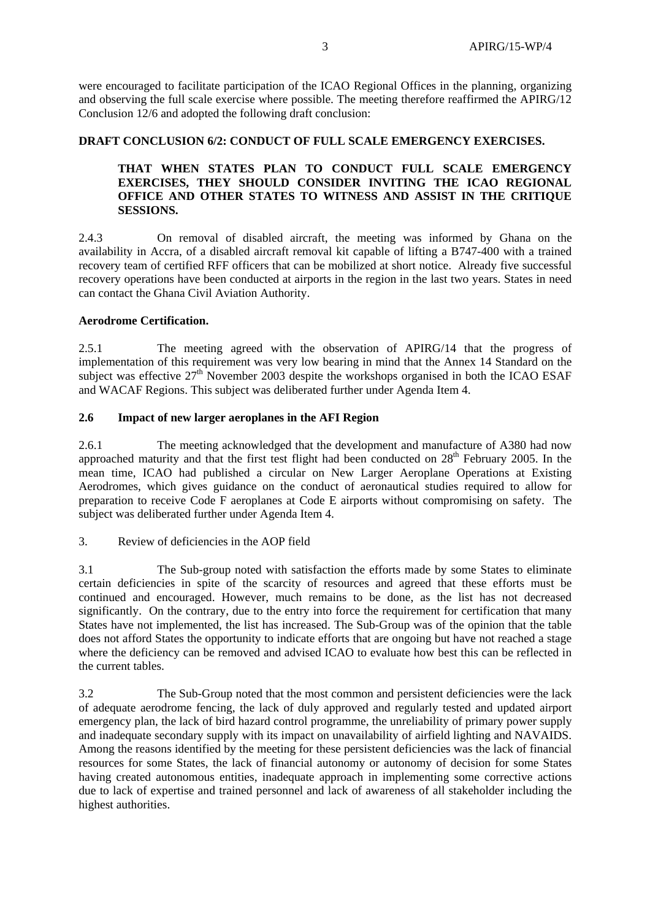were encouraged to facilitate participation of the ICAO Regional Offices in the planning, organizing and observing the full scale exercise where possible. The meeting therefore reaffirmed the APIRG/12 Conclusion 12/6 and adopted the following draft conclusion:

### **DRAFT CONCLUSION 6/2: CONDUCT OF FULL SCALE EMERGENCY EXERCISES.**

## **THAT WHEN STATES PLAN TO CONDUCT FULL SCALE EMERGENCY EXERCISES, THEY SHOULD CONSIDER INVITING THE ICAO REGIONAL OFFICE AND OTHER STATES TO WITNESS AND ASSIST IN THE CRITIQUE SESSIONS.**

2.4.3 On removal of disabled aircraft, the meeting was informed by Ghana on the availability in Accra, of a disabled aircraft removal kit capable of lifting a B747-400 with a trained recovery team of certified RFF officers that can be mobilized at short notice. Already five successful recovery operations have been conducted at airports in the region in the last two years. States in need can contact the Ghana Civil Aviation Authority.

## **Aerodrome Certification.**

2.5.1 The meeting agreed with the observation of APIRG/14 that the progress of implementation of this requirement was very low bearing in mind that the Annex 14 Standard on the subject was effective  $27<sup>th</sup>$  November 2003 despite the workshops organised in both the ICAO ESAF and WACAF Regions. This subject was deliberated further under Agenda Item 4.

## **2.6 Impact of new larger aeroplanes in the AFI Region**

2.6.1 The meeting acknowledged that the development and manufacture of A380 had now approached maturity and that the first test flight had been conducted on 28<sup>th</sup> February 2005. In the mean time, ICAO had published a circular on New Larger Aeroplane Operations at Existing Aerodromes, which gives guidance on the conduct of aeronautical studies required to allow for preparation to receive Code F aeroplanes at Code E airports without compromising on safety. The subject was deliberated further under Agenda Item 4.

### 3. Review of deficiencies in the AOP field

3.1 The Sub-group noted with satisfaction the efforts made by some States to eliminate certain deficiencies in spite of the scarcity of resources and agreed that these efforts must be continued and encouraged. However, much remains to be done, as the list has not decreased significantly. On the contrary, due to the entry into force the requirement for certification that many States have not implemented, the list has increased. The Sub-Group was of the opinion that the table does not afford States the opportunity to indicate efforts that are ongoing but have not reached a stage where the deficiency can be removed and advised ICAO to evaluate how best this can be reflected in the current tables.

3.2 The Sub-Group noted that the most common and persistent deficiencies were the lack of adequate aerodrome fencing, the lack of duly approved and regularly tested and updated airport emergency plan, the lack of bird hazard control programme, the unreliability of primary power supply and inadequate secondary supply with its impact on unavailability of airfield lighting and NAVAIDS. Among the reasons identified by the meeting for these persistent deficiencies was the lack of financial resources for some States, the lack of financial autonomy or autonomy of decision for some States having created autonomous entities, inadequate approach in implementing some corrective actions due to lack of expertise and trained personnel and lack of awareness of all stakeholder including the highest authorities.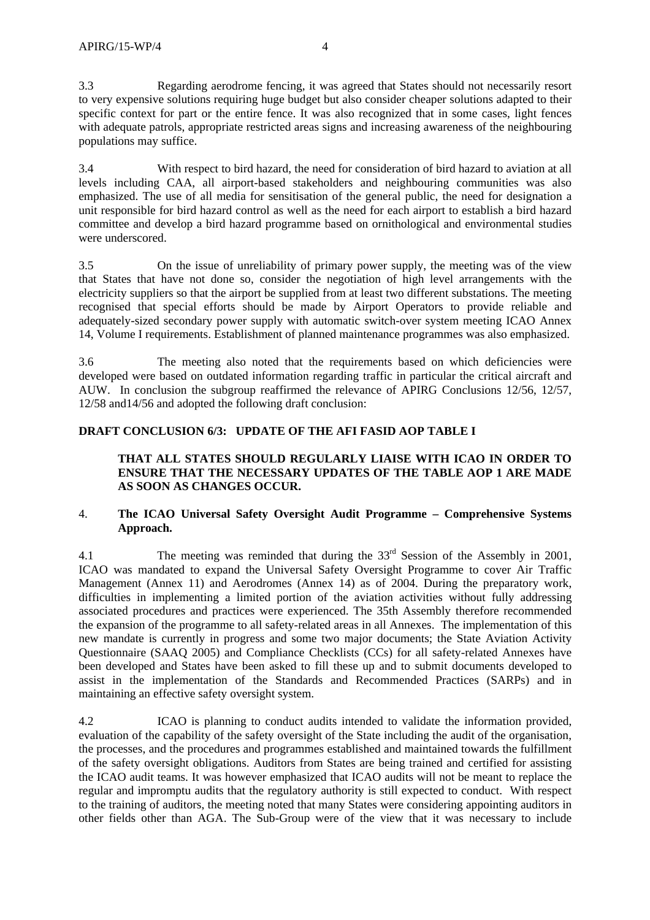3.3 Regarding aerodrome fencing, it was agreed that States should not necessarily resort to very expensive solutions requiring huge budget but also consider cheaper solutions adapted to their specific context for part or the entire fence. It was also recognized that in some cases, light fences with adequate patrols, appropriate restricted areas signs and increasing awareness of the neighbouring populations may suffice.

3.4 With respect to bird hazard, the need for consideration of bird hazard to aviation at all levels including CAA, all airport-based stakeholders and neighbouring communities was also emphasized. The use of all media for sensitisation of the general public, the need for designation a unit responsible for bird hazard control as well as the need for each airport to establish a bird hazard committee and develop a bird hazard programme based on ornithological and environmental studies were underscored.

3.5 On the issue of unreliability of primary power supply, the meeting was of the view that States that have not done so, consider the negotiation of high level arrangements with the electricity suppliers so that the airport be supplied from at least two different substations. The meeting recognised that special efforts should be made by Airport Operators to provide reliable and adequately-sized secondary power supply with automatic switch-over system meeting ICAO Annex 14, Volume I requirements. Establishment of planned maintenance programmes was also emphasized.

3.6 The meeting also noted that the requirements based on which deficiencies were developed were based on outdated information regarding traffic in particular the critical aircraft and AUW. In conclusion the subgroup reaffirmed the relevance of APIRG Conclusions 12/56, 12/57, 12/58 and14/56 and adopted the following draft conclusion:

## **DRAFT CONCLUSION 6/3: UPDATE OF THE AFI FASID AOP TABLE I**

## **THAT ALL STATES SHOULD REGULARLY LIAISE WITH ICAO IN ORDER TO ENSURE THAT THE NECESSARY UPDATES OF THE TABLE AOP 1 ARE MADE AS SOON AS CHANGES OCCUR.**

### 4. **The ICAO Universal Safety Oversight Audit Programme – Comprehensive Systems Approach.**

4.1 The meeting was reminded that during the 33rd Session of the Assembly in 2001, ICAO was mandated to expand the Universal Safety Oversight Programme to cover Air Traffic Management (Annex 11) and Aerodromes (Annex 14) as of 2004. During the preparatory work, difficulties in implementing a limited portion of the aviation activities without fully addressing associated procedures and practices were experienced. The 35th Assembly therefore recommended the expansion of the programme to all safety-related areas in all Annexes. The implementation of this new mandate is currently in progress and some two major documents; the State Aviation Activity Questionnaire (SAAQ 2005) and Compliance Checklists (CCs) for all safety-related Annexes have been developed and States have been asked to fill these up and to submit documents developed to assist in the implementation of the Standards and Recommended Practices (SARPs) and in maintaining an effective safety oversight system.

4.2 ICAO is planning to conduct audits intended to validate the information provided, evaluation of the capability of the safety oversight of the State including the audit of the organisation, the processes, and the procedures and programmes established and maintained towards the fulfillment of the safety oversight obligations. Auditors from States are being trained and certified for assisting the ICAO audit teams. It was however emphasized that ICAO audits will not be meant to replace the regular and impromptu audits that the regulatory authority is still expected to conduct. With respect to the training of auditors, the meeting noted that many States were considering appointing auditors in other fields other than AGA. The Sub-Group were of the view that it was necessary to include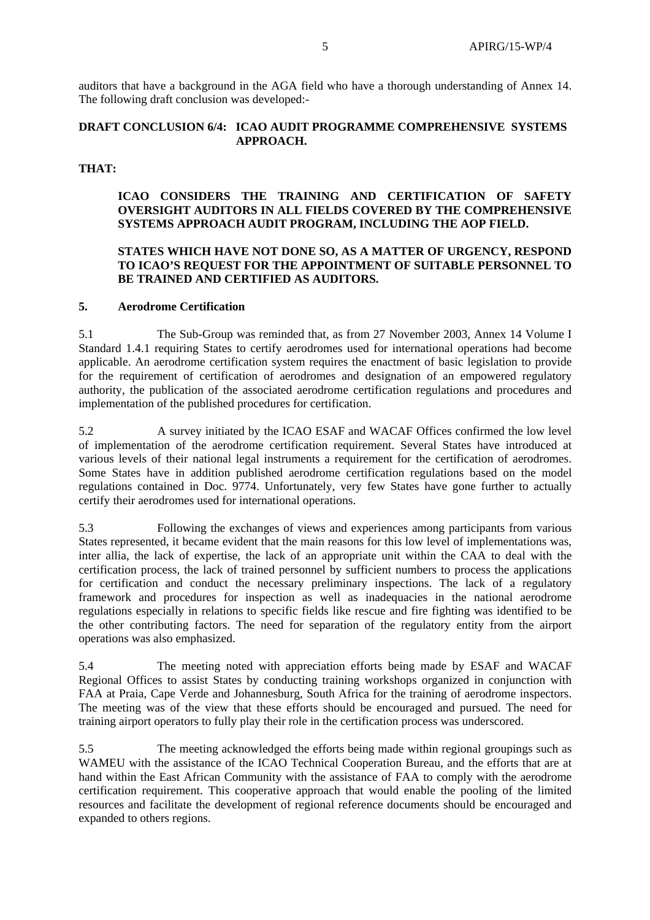auditors that have a background in the AGA field who have a thorough understanding of Annex 14. The following draft conclusion was developed:-

### **DRAFT CONCLUSION 6/4: ICAO AUDIT PROGRAMME COMPREHENSIVE SYSTEMS APPROACH.**

### **THAT:**

#### **ICAO CONSIDERS THE TRAINING AND CERTIFICATION OF SAFETY OVERSIGHT AUDITORS IN ALL FIELDS COVERED BY THE COMPREHENSIVE SYSTEMS APPROACH AUDIT PROGRAM, INCLUDING THE AOP FIELD.**

### **STATES WHICH HAVE NOT DONE SO, AS A MATTER OF URGENCY, RESPOND TO ICAO'S REQUEST FOR THE APPOINTMENT OF SUITABLE PERSONNEL TO BE TRAINED AND CERTIFIED AS AUDITORS.**

### **5. Aerodrome Certification**

5.1 The Sub-Group was reminded that, as from 27 November 2003, Annex 14 Volume I Standard 1.4.1 requiring States to certify aerodromes used for international operations had become applicable. An aerodrome certification system requires the enactment of basic legislation to provide for the requirement of certification of aerodromes and designation of an empowered regulatory authority, the publication of the associated aerodrome certification regulations and procedures and implementation of the published procedures for certification.

5.2 A survey initiated by the ICAO ESAF and WACAF Offices confirmed the low level of implementation of the aerodrome certification requirement. Several States have introduced at various levels of their national legal instruments a requirement for the certification of aerodromes. Some States have in addition published aerodrome certification regulations based on the model regulations contained in Doc. 9774. Unfortunately, very few States have gone further to actually certify their aerodromes used for international operations.

5.3 Following the exchanges of views and experiences among participants from various States represented, it became evident that the main reasons for this low level of implementations was, inter allia, the lack of expertise, the lack of an appropriate unit within the CAA to deal with the certification process, the lack of trained personnel by sufficient numbers to process the applications for certification and conduct the necessary preliminary inspections. The lack of a regulatory framework and procedures for inspection as well as inadequacies in the national aerodrome regulations especially in relations to specific fields like rescue and fire fighting was identified to be the other contributing factors. The need for separation of the regulatory entity from the airport operations was also emphasized.

5.4 The meeting noted with appreciation efforts being made by ESAF and WACAF Regional Offices to assist States by conducting training workshops organized in conjunction with FAA at Praia, Cape Verde and Johannesburg, South Africa for the training of aerodrome inspectors. The meeting was of the view that these efforts should be encouraged and pursued. The need for training airport operators to fully play their role in the certification process was underscored.

5.5 The meeting acknowledged the efforts being made within regional groupings such as WAMEU with the assistance of the ICAO Technical Cooperation Bureau, and the efforts that are at hand within the East African Community with the assistance of FAA to comply with the aerodrome certification requirement. This cooperative approach that would enable the pooling of the limited resources and facilitate the development of regional reference documents should be encouraged and expanded to others regions.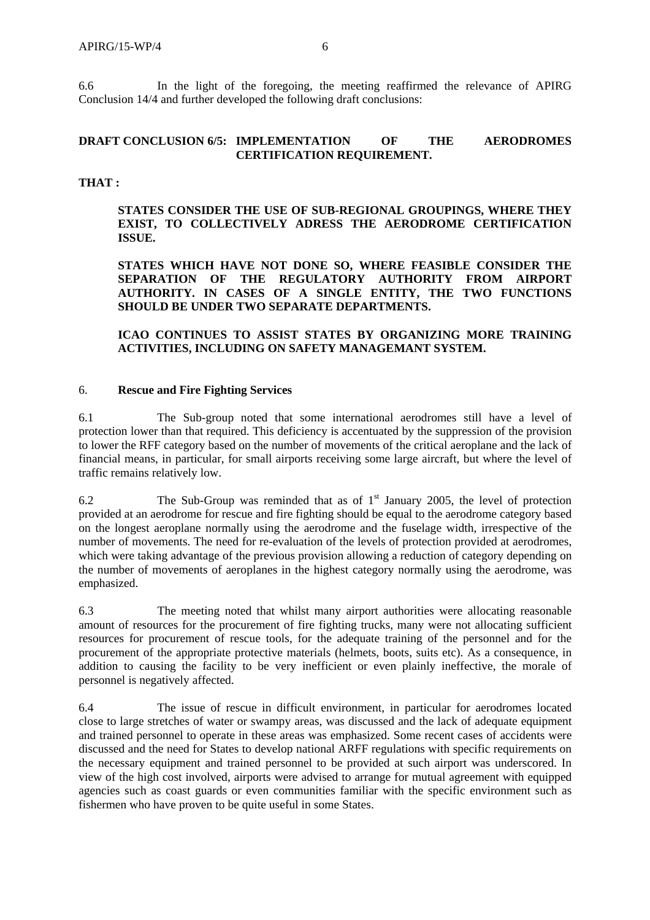6.6 In the light of the foregoing, the meeting reaffirmed the relevance of APIRG Conclusion 14/4 and further developed the following draft conclusions:

## **DRAFT CONCLUSION 6/5: IMPLEMENTATION OF THE AERODROMES CERTIFICATION REQUIREMENT.**

### **THAT :**

**STATES CONSIDER THE USE OF SUB-REGIONAL GROUPINGS, WHERE THEY EXIST, TO COLLECTIVELY ADRESS THE AERODROME CERTIFICATION ISSUE.** 

**STATES WHICH HAVE NOT DONE SO, WHERE FEASIBLE CONSIDER THE SEPARATION OF THE REGULATORY AUTHORITY FROM AIRPORT AUTHORITY. IN CASES OF A SINGLE ENTITY, THE TWO FUNCTIONS SHOULD BE UNDER TWO SEPARATE DEPARTMENTS.** 

**ICAO CONTINUES TO ASSIST STATES BY ORGANIZING MORE TRAINING ACTIVITIES, INCLUDING ON SAFETY MANAGEMANT SYSTEM.** 

#### 6. **Rescue and Fire Fighting Services**

6.1 The Sub-group noted that some international aerodromes still have a level of protection lower than that required. This deficiency is accentuated by the suppression of the provision to lower the RFF category based on the number of movements of the critical aeroplane and the lack of financial means, in particular, for small airports receiving some large aircraft, but where the level of traffic remains relatively low.

6.2 The Sub-Group was reminded that as of  $1<sup>st</sup>$  January 2005, the level of protection provided at an aerodrome for rescue and fire fighting should be equal to the aerodrome category based on the longest aeroplane normally using the aerodrome and the fuselage width, irrespective of the number of movements. The need for re-evaluation of the levels of protection provided at aerodromes, which were taking advantage of the previous provision allowing a reduction of category depending on the number of movements of aeroplanes in the highest category normally using the aerodrome, was emphasized.

6.3 The meeting noted that whilst many airport authorities were allocating reasonable amount of resources for the procurement of fire fighting trucks, many were not allocating sufficient resources for procurement of rescue tools, for the adequate training of the personnel and for the procurement of the appropriate protective materials (helmets, boots, suits etc). As a consequence, in addition to causing the facility to be very inefficient or even plainly ineffective, the morale of personnel is negatively affected.

6.4 The issue of rescue in difficult environment, in particular for aerodromes located close to large stretches of water or swampy areas, was discussed and the lack of adequate equipment and trained personnel to operate in these areas was emphasized. Some recent cases of accidents were discussed and the need for States to develop national ARFF regulations with specific requirements on the necessary equipment and trained personnel to be provided at such airport was underscored. In view of the high cost involved, airports were advised to arrange for mutual agreement with equipped agencies such as coast guards or even communities familiar with the specific environment such as fishermen who have proven to be quite useful in some States.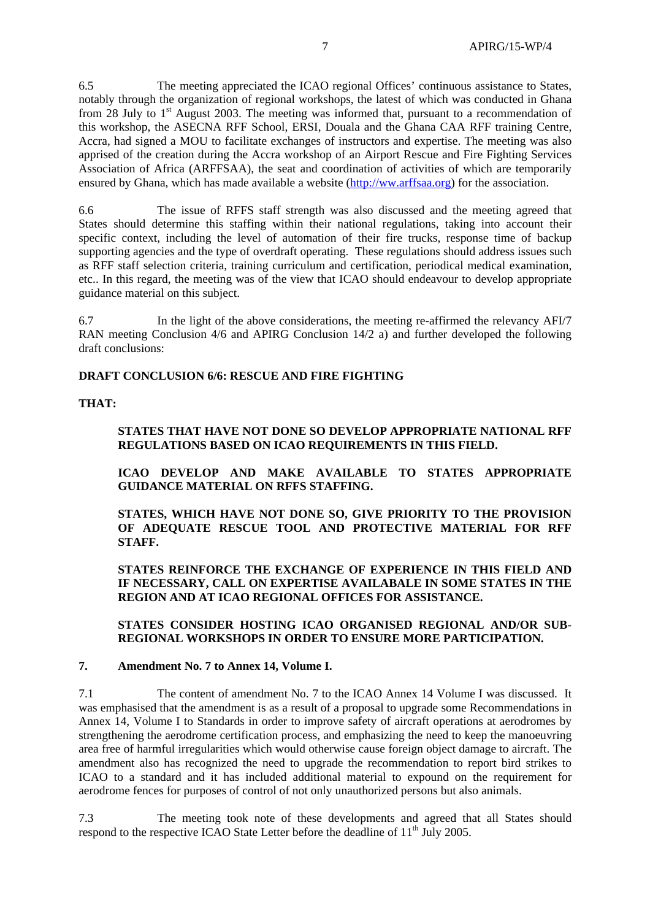6.5 The meeting appreciated the ICAO regional Offices' continuous assistance to States, notably through the organization of regional workshops, the latest of which was conducted in Ghana from 28 July to  $1<sup>st</sup>$  August 2003. The meeting was informed that, pursuant to a recommendation of this workshop, the ASECNA RFF School, ERSI, Douala and the Ghana CAA RFF training Centre, Accra, had signed a MOU to facilitate exchanges of instructors and expertise. The meeting was also apprised of the creation during the Accra workshop of an Airport Rescue and Fire Fighting Services Association of Africa (ARFFSAA), the seat and coordination of activities of which are temporarily ensured by Ghana, which has made available a website (http://ww.arffsaa.org) for the association.

6.6 The issue of RFFS staff strength was also discussed and the meeting agreed that States should determine this staffing within their national regulations, taking into account their specific context, including the level of automation of their fire trucks, response time of backup supporting agencies and the type of overdraft operating. These regulations should address issues such as RFF staff selection criteria, training curriculum and certification, periodical medical examination, etc.. In this regard, the meeting was of the view that ICAO should endeavour to develop appropriate guidance material on this subject.

6.7 In the light of the above considerations, the meeting re-affirmed the relevancy AFI/7 RAN meeting Conclusion 4/6 and APIRG Conclusion 14/2 a) and further developed the following draft conclusions:

#### **DRAFT CONCLUSION 6/6: RESCUE AND FIRE FIGHTING**

### **THAT:**

### **STATES THAT HAVE NOT DONE SO DEVELOP APPROPRIATE NATIONAL RFF REGULATIONS BASED ON ICAO REQUIREMENTS IN THIS FIELD.**

**ICAO DEVELOP AND MAKE AVAILABLE TO STATES APPROPRIATE GUIDANCE MATERIAL ON RFFS STAFFING.** 

**STATES, WHICH HAVE NOT DONE SO, GIVE PRIORITY TO THE PROVISION OF ADEQUATE RESCUE TOOL AND PROTECTIVE MATERIAL FOR RFF STAFF.** 

**STATES REINFORCE THE EXCHANGE OF EXPERIENCE IN THIS FIELD AND IF NECESSARY, CALL ON EXPERTISE AVAILABALE IN SOME STATES IN THE REGION AND AT ICAO REGIONAL OFFICES FOR ASSISTANCE.** 

#### **STATES CONSIDER HOSTING ICAO ORGANISED REGIONAL AND/OR SUB-REGIONAL WORKSHOPS IN ORDER TO ENSURE MORE PARTICIPATION.**

#### **7. Amendment No. 7 to Annex 14, Volume I.**

7.1 The content of amendment No. 7 to the ICAO Annex 14 Volume I was discussed. It was emphasised that the amendment is as a result of a proposal to upgrade some Recommendations in Annex 14, Volume I to Standards in order to improve safety of aircraft operations at aerodromes by strengthening the aerodrome certification process, and emphasizing the need to keep the manoeuvring area free of harmful irregularities which would otherwise cause foreign object damage to aircraft. The amendment also has recognized the need to upgrade the recommendation to report bird strikes to ICAO to a standard and it has included additional material to expound on the requirement for aerodrome fences for purposes of control of not only unauthorized persons but also animals.

7.3 The meeting took note of these developments and agreed that all States should respond to the respective ICAO State Letter before the deadline of  $11<sup>th</sup>$  July 2005.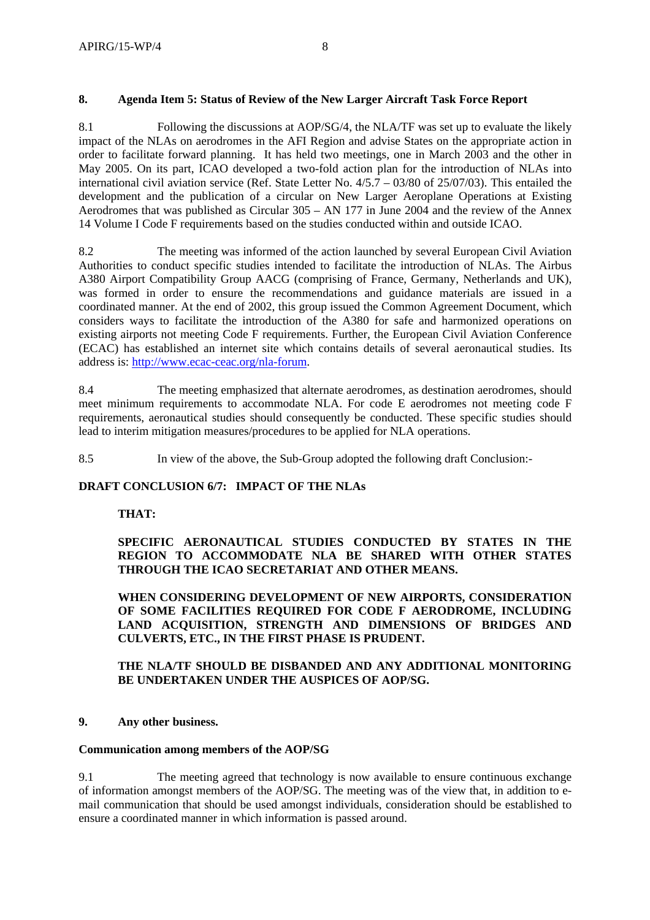## **8. Agenda Item 5: Status of Review of the New Larger Aircraft Task Force Report**

8.1 Following the discussions at AOP/SG/4, the NLA/TF was set up to evaluate the likely impact of the NLAs on aerodromes in the AFI Region and advise States on the appropriate action in order to facilitate forward planning. It has held two meetings, one in March 2003 and the other in May 2005. On its part, ICAO developed a two-fold action plan for the introduction of NLAs into international civil aviation service (Ref. State Letter No. 4/5.7 – 03/80 of 25/07/03). This entailed the development and the publication of a circular on New Larger Aeroplane Operations at Existing Aerodromes that was published as Circular 305 – AN 177 in June 2004 and the review of the Annex 14 Volume I Code F requirements based on the studies conducted within and outside ICAO.

8.2 The meeting was informed of the action launched by several European Civil Aviation Authorities to conduct specific studies intended to facilitate the introduction of NLAs. The Airbus A380 Airport Compatibility Group AACG (comprising of France, Germany, Netherlands and UK), was formed in order to ensure the recommendations and guidance materials are issued in a coordinated manner. At the end of 2002, this group issued the Common Agreement Document, which considers ways to facilitate the introduction of the A380 for safe and harmonized operations on existing airports not meeting Code F requirements. Further, the European Civil Aviation Conference (ECAC) has established an internet site which contains details of several aeronautical studies. Its address is: http://www.ecac-ceac.org/nla-forum.

8.4 The meeting emphasized that alternate aerodromes, as destination aerodromes, should meet minimum requirements to accommodate NLA. For code E aerodromes not meeting code F requirements, aeronautical studies should consequently be conducted. These specific studies should lead to interim mitigation measures/procedures to be applied for NLA operations.

8.5 In view of the above, the Sub-Group adopted the following draft Conclusion:-

# **DRAFT CONCLUSION 6/7: IMPACT OF THE NLAs**

# **THAT:**

**SPECIFIC AERONAUTICAL STUDIES CONDUCTED BY STATES IN THE REGION TO ACCOMMODATE NLA BE SHARED WITH OTHER STATES THROUGH THE ICAO SECRETARIAT AND OTHER MEANS.** 

**WHEN CONSIDERING DEVELOPMENT OF NEW AIRPORTS, CONSIDERATION OF SOME FACILITIES REQUIRED FOR CODE F AERODROME, INCLUDING LAND ACQUISITION, STRENGTH AND DIMENSIONS OF BRIDGES AND CULVERTS, ETC., IN THE FIRST PHASE IS PRUDENT.** 

## **THE NLA/TF SHOULD BE DISBANDED AND ANY ADDITIONAL MONITORING BE UNDERTAKEN UNDER THE AUSPICES OF AOP/SG.**

### **9. Any other business.**

### **Communication among members of the AOP/SG**

9.1 The meeting agreed that technology is now available to ensure continuous exchange of information amongst members of the AOP/SG. The meeting was of the view that, in addition to email communication that should be used amongst individuals, consideration should be established to ensure a coordinated manner in which information is passed around.